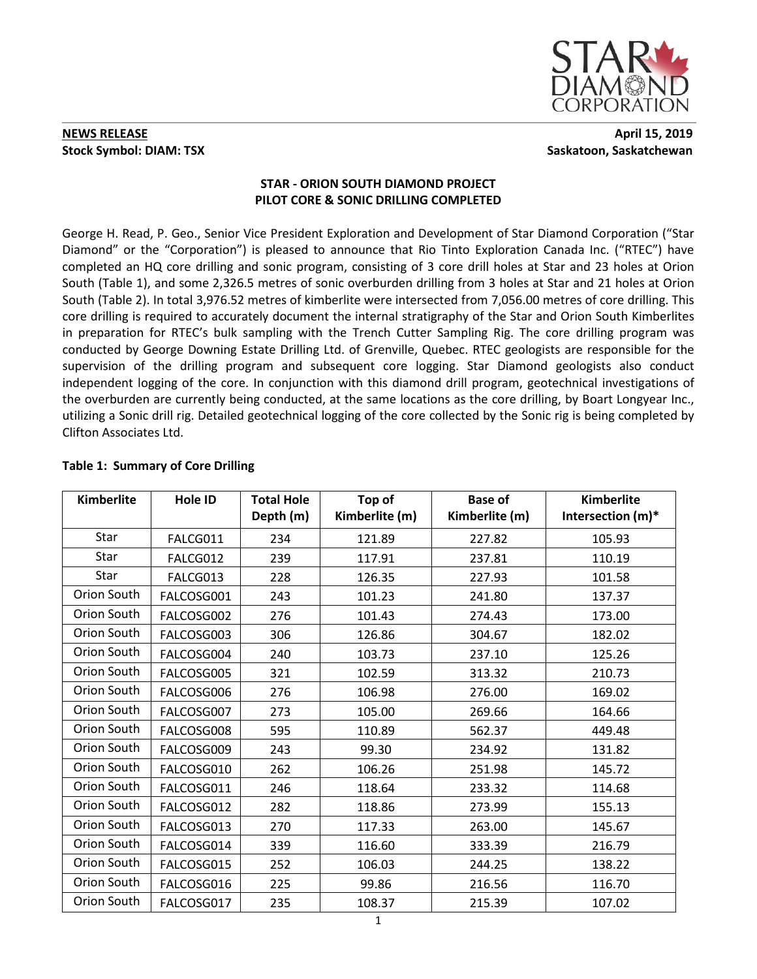

# **NEWS RELEASE** April 15, 2019

# **Stock Symbol: DIAM: TSX** Saskatoon, Saskatchewan

## **STAR - ORION SOUTH DIAMOND PROJECT PILOT CORE & SONIC DRILLING COMPLETED**

George H. Read, P. Geo., Senior Vice President Exploration and Development of Star Diamond Corporation ("Star Diamond" or the "Corporation") is pleased to announce that Rio Tinto Exploration Canada Inc. ("RTEC") have completed an HQ core drilling and sonic program, consisting of 3 core drill holes at Star and 23 holes at Orion South (Table 1), and some 2,326.5 metres of sonic overburden drilling from 3 holes at Star and 21 holes at Orion South (Table 2). In total 3,976.52 metres of kimberlite were intersected from 7,056.00 metres of core drilling. This core drilling is required to accurately document the internal stratigraphy of the Star and Orion South Kimberlites in preparation for RTEC's bulk sampling with the Trench Cutter Sampling Rig. The core drilling program was conducted by George Downing Estate Drilling Ltd. of Grenville, Quebec. RTEC geologists are responsible for the supervision of the drilling program and subsequent core logging. Star Diamond geologists also conduct independent logging of the core. In conjunction with this diamond drill program, geotechnical investigations of the overburden are currently being conducted, at the same locations as the core drilling, by Boart Longyear Inc., utilizing a Sonic drill rig. Detailed geotechnical logging of the core collected by the Sonic rig is being completed by Clifton Associates Ltd.

| <b>Kimberlite</b> | <b>Hole ID</b> | <b>Total Hole</b><br>Depth (m) | Top of<br>Kimberlite (m) | <b>Base of</b><br>Kimberlite (m) | <b>Kimberlite</b><br>Intersection (m)* |
|-------------------|----------------|--------------------------------|--------------------------|----------------------------------|----------------------------------------|
| Star              | FALCG011       | 234                            | 121.89                   | 227.82                           | 105.93                                 |
| Star              | FALCG012       | 239                            | 117.91                   | 237.81                           | 110.19                                 |
| Star              | FALCG013       | 228                            | 126.35                   | 227.93                           | 101.58                                 |
| Orion South       | FALCOSG001     | 243                            | 101.23                   | 241.80                           | 137.37                                 |
| Orion South       | FALCOSG002     | 276                            | 101.43                   | 274.43                           | 173.00                                 |
| Orion South       | FALCOSG003     | 306                            | 126.86                   | 304.67                           | 182.02                                 |
| Orion South       | FALCOSG004     | 240                            | 103.73                   | 237.10                           | 125.26                                 |
| Orion South       | FALCOSG005     | 321                            | 102.59                   | 313.32                           | 210.73                                 |
| Orion South       | FALCOSG006     | 276                            | 106.98                   | 276.00                           | 169.02                                 |
| Orion South       | FALCOSG007     | 273                            | 105.00                   | 269.66                           | 164.66                                 |
| Orion South       | FALCOSG008     | 595                            | 110.89                   | 562.37                           | 449.48                                 |
| Orion South       | FALCOSG009     | 243                            | 99.30                    | 234.92                           | 131.82                                 |
| Orion South       | FALCOSG010     | 262                            | 106.26                   | 251.98                           | 145.72                                 |
| Orion South       | FALCOSG011     | 246                            | 118.64                   | 233.32                           | 114.68                                 |
| Orion South       | FALCOSG012     | 282                            | 118.86                   | 273.99                           | 155.13                                 |
| Orion South       | FALCOSG013     | 270                            | 117.33                   | 263.00                           | 145.67                                 |
| Orion South       | FALCOSG014     | 339                            | 116.60                   | 333.39                           | 216.79                                 |
| Orion South       | FALCOSG015     | 252                            | 106.03                   | 244.25                           | 138.22                                 |
| Orion South       | FALCOSG016     | 225                            | 99.86                    | 216.56                           | 116.70                                 |
| Orion South       | FALCOSG017     | 235                            | 108.37                   | 215.39                           | 107.02                                 |

### **Table 1: Summary of Core Drilling**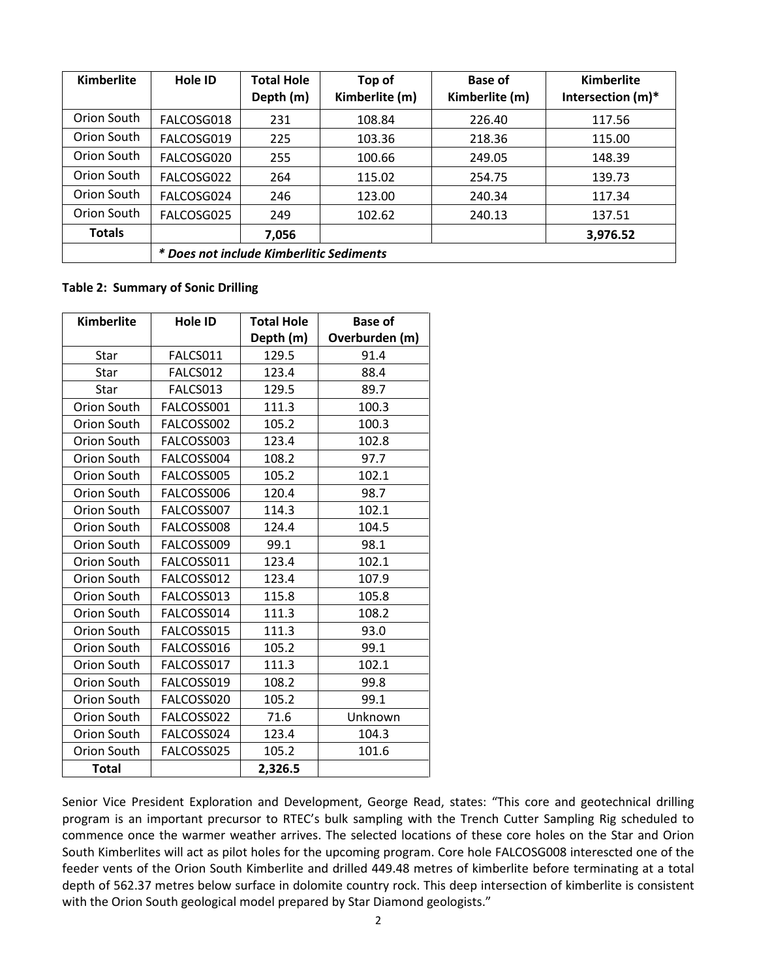| <b>Kimberlite</b> | <b>Hole ID</b>                           | <b>Total Hole</b><br>Depth (m) | Top of<br>Kimberlite (m) | <b>Base of</b><br>Kimberlite (m) | <b>Kimberlite</b><br>Intersection (m)* |
|-------------------|------------------------------------------|--------------------------------|--------------------------|----------------------------------|----------------------------------------|
| Orion South       | FALCOSG018                               | 231                            | 108.84                   | 226.40                           | 117.56                                 |
| Orion South       | FALCOSG019                               | 225                            | 103.36                   | 218.36                           | 115.00                                 |
| Orion South       | FALCOSG020                               | 255                            | 100.66                   | 249.05                           | 148.39                                 |
| Orion South       | FALCOSG022                               | 264                            | 115.02                   | 254.75                           | 139.73                                 |
| Orion South       | FALCOSG024                               | 246                            | 123.00                   | 240.34                           | 117.34                                 |
| Orion South       | FALCOSG025                               | 249                            | 102.62                   | 240.13                           | 137.51                                 |
| <b>Totals</b>     |                                          | 7,056                          |                          |                                  | 3,976.52                               |
|                   | * Does not include Kimberlitic Sediments |                                |                          |                                  |                                        |

#### **Table 2: Summary of Sonic Drilling**

| Kimberlite   | Hole ID    | <b>Total Hole</b> | <b>Base of</b> |
|--------------|------------|-------------------|----------------|
|              |            | Depth (m)         | Overburden (m) |
| Star         | FALCS011   | 129.5             | 91.4           |
| Star         | FALCS012   | 123.4             | 88.4           |
| Star         | FALCS013   | 129.5             | 89.7           |
| Orion South  | FALCOSS001 | 111.3             | 100.3          |
| Orion South  | FALCOSS002 | 105.2             | 100.3          |
| Orion South  | FALCOSS003 | 123.4             | 102.8          |
| Orion South  | FALCOSS004 | 108.2             | 97.7           |
| Orion South  | FALCOSS005 | 105.2             | 102.1          |
| Orion South  | FALCOSS006 | 120.4             | 98.7           |
| Orion South  | FALCOSS007 | 114.3             | 102.1          |
| Orion South  | FALCOSS008 | 124.4             | 104.5          |
| Orion South  | FALCOSS009 | 99.1              | 98.1           |
| Orion South  | FALCOSS011 | 123.4             | 102.1          |
| Orion South  | FALCOSS012 | 123.4             | 107.9          |
| Orion South  | FALCOSS013 | 115.8             | 105.8          |
| Orion South  | FALCOSS014 | 111.3             | 108.2          |
| Orion South  | FALCOSS015 | 111.3             | 93.0           |
| Orion South  | FALCOSS016 | 105.2             | 99.1           |
| Orion South  | FALCOSS017 | 111.3             | 102.1          |
| Orion South  | FALCOSS019 | 108.2             | 99.8           |
| Orion South  | FALCOSS020 | 105.2             | 99.1           |
| Orion South  | FALCOSS022 | 71.6              | Unknown        |
| Orion South  | FALCOSS024 | 123.4             | 104.3          |
| Orion South  | FALCOSS025 | 105.2             | 101.6          |
| <b>Total</b> |            | 2,326.5           |                |

Senior Vice President Exploration and Development, George Read, states: "This core and geotechnical drilling program is an important precursor to RTEC's bulk sampling with the Trench Cutter Sampling Rig scheduled to commence once the warmer weather arrives. The selected locations of these core holes on the Star and Orion South Kimberlites will act as pilot holes for the upcoming program. Core hole FALCOSG008 interescted one of the feeder vents of the Orion South Kimberlite and drilled 449.48 metres of kimberlite before terminating at a total depth of 562.37 metres below surface in dolomite country rock. This deep intersection of kimberlite is consistent with the Orion South geological model prepared by Star Diamond geologists."